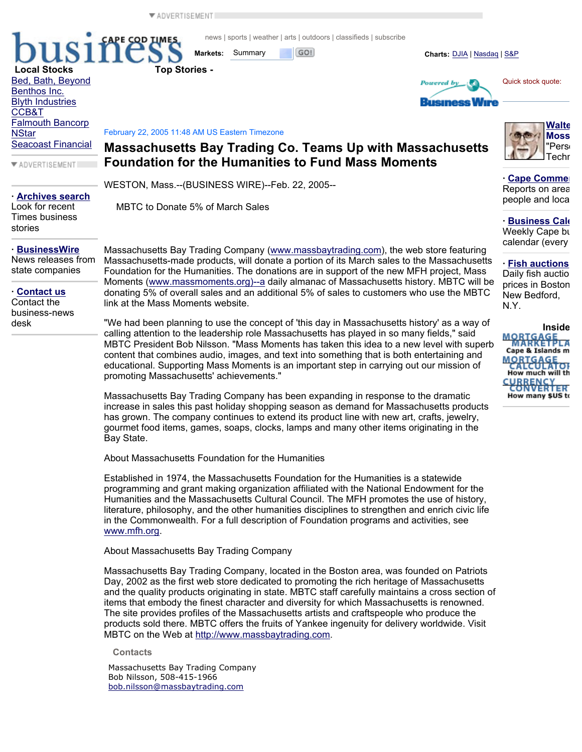ADVERTISEMENT

**Local Stocks Top Stories -**

**LPE COD TIMES** 

news | sports | weather | arts | outdoors | classifieds | subscribe

**Markets:** Summary **Charts: Charts:** DJIA | Nasdaq | S&P

**Powered** by



**Business** 



February 22, 2005 11:48 AM US Eastern Timezone

## **Massachusetts Bay Trading Co. Teams Up with Massachusetts Foundation for the Humanities to Fund Mass Moments**

WESTON, Mass.--(BUSINESS WIRE)--Feb. 22, 2005--

MBTC to Donate 5% of March Sales

**· Archives search** Look for recent

Bed, Bath, Beyond Benthos Inc. Blyth Industries

Falmouth Bancorp

Seacoast Financial

ADVERTISEMENT

CCB&T

**NStar** 

Times business stories

**· BusinessWire** News releases from state companies

**· Contact us** Contact the

business-news desk

Massachusetts Bay Trading Company (www.massbaytrading.com), the web store featuring Massachusetts-made products, will donate a portion of its March sales to the Massachusetts Foundation for the Humanities. The donations are in support of the new MFH project, Mass Moments (www.massmoments.org)--a daily almanac of Massachusetts history. MBTC will be donating 5% of overall sales and an additional 5% of sales to customers who use the MBTC link at the Mass Moments website.

"We had been planning to use the concept of 'this day in Massachusetts history' as a way of calling attention to the leadership role Massachusetts has played in so many fields," said MBTC President Bob Nilsson. "Mass Moments has taken this idea to a new level with superb content that combines audio, images, and text into something that is both entertaining and educational. Supporting Mass Moments is an important step in carrying out our mission of promoting Massachusetts' achievements."

Massachusetts Bay Trading Company has been expanding in response to the dramatic increase in sales this past holiday shopping season as demand for Massachusetts products has grown. The company continues to extend its product line with new art, crafts, jewelry, gourmet food items, games, soaps, clocks, lamps and many other items originating in the Bay State.

About Massachusetts Foundation for the Humanities

Established in 1974, the Massachusetts Foundation for the Humanities is a statewide programming and grant making organization affiliated with the National Endowment for the Humanities and the Massachusetts Cultural Council. The MFH promotes the use of history, literature, philosophy, and the other humanities disciplines to strengthen and enrich civic life in the Commonwealth. For a full description of Foundation programs and activities, see www.mfh.org.

About Massachusetts Bay Trading Company

Massachusetts Bay Trading Company, located in the Boston area, was founded on Patriots Day, 2002 as the first web store dedicated to promoting the rich heritage of Massachusetts and the quality products originating in state. MBTC staff carefully maintains a cross section of items that embody the finest character and diversity for which Massachusetts is renowned. The site provides profiles of the Massachusetts artists and craftspeople who produce the products sold there. MBTC offers the fruits of Yankee ingenuity for delivery worldwide. Visit MBTC on the Web at http://www.massbaytrading.com.

**Contacts** 

Massachusetts Bay Trading Company Bob Nilsson, 508-415-1966 bob.nilsson@massbaytrading.com



**· Cape Commer** Reports on area people and loca

**· Business Cale** Weekly Cape bu calendar (every

**· Fish auctions** Daily fish auctio prices in Boston New Bedford, N.Y.

**InsideMORTGAGELA** Cape & Islands m MORTGAGE How much will th CURRENCY How many \$US to